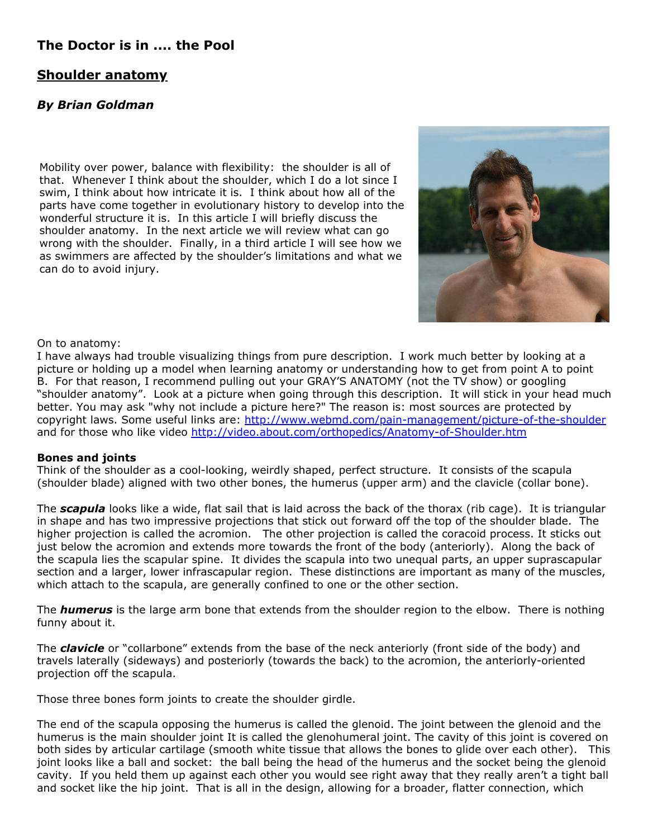# **The Doctor is in .... the Pool**

## **Shoulder anatomy**

## *By Brian Goldman*

Mobility over power, balance with flexibility: the shoulder is all of that. Whenever I think about the shoulder, which I do a lot since I swim, I think about how intricate it is. I think about how all of the parts have come together in evolutionary history to develop into the wonderful structure it is. In this article I will briefly discuss the shoulder anatomy. In the next article we will review what can go wrong with the shoulder. Finally, in a third article I will see how we as swimmers are affected by the shoulder's limitations and what we can do to avoid injury.



## On to anatomy:

I have always had trouble visualizing things from pure description. I work much better by looking at a picture or holding up a model when learning anatomy or understanding how to get from point A to point B. For that reason, I recommend pulling out your GRAY'S ANATOMY (not the TV show) or googling "shoulder anatomy". Look at a picture when going through this description. It will stick in your head much better. You may ask "why not include a picture here?" The reason is: most sources are protected by copyright laws. Some useful links are: <http://www.webmd.com/pain-management/picture-of-the-shoulder> and for those who like video <http://video.about.com/orthopedics/Anatomy-of-Shoulder.htm>

## **Bones and joints**

Think of the shoulder as a cool-looking, weirdly shaped, perfect structure. It consists of the scapula (shoulder blade) aligned with two other bones, the humerus (upper arm) and the clavicle (collar bone).

The *scapula* looks like a wide, flat sail that is laid across the back of the thorax (rib cage). It is triangular in shape and has two impressive projections that stick out forward off the top of the shoulder blade. The higher projection is called the acromion. The other projection is called the coracoid process. It sticks out just below the acromion and extends more towards the front of the body (anteriorly). Along the back of the scapula lies the scapular spine. It divides the scapula into two unequal parts, an upper suprascapular section and a larger, lower infrascapular region. These distinctions are important as many of the muscles, which attach to the scapula, are generally confined to one or the other section.

The *humerus* is the large arm bone that extends from the shoulder region to the elbow. There is nothing funny about it.

The *clavicle* or "collarbone" extends from the base of the neck anteriorly (front side of the body) and travels laterally (sideways) and posteriorly (towards the back) to the acromion, the anteriorly-oriented projection off the scapula.

Those three bones form joints to create the shoulder girdle.

The end of the scapula opposing the humerus is called the glenoid. The joint between the glenoid and the humerus is the main shoulder joint It is called the glenohumeral joint. The cavity of this joint is covered on both sides by articular cartilage (smooth white tissue that allows the bones to glide over each other). This joint looks like a ball and socket: the ball being the head of the humerus and the socket being the glenoid cavity. If you held them up against each other you would see right away that they really aren't a tight ball and socket like the hip joint. That is all in the design, allowing for a broader, flatter connection, which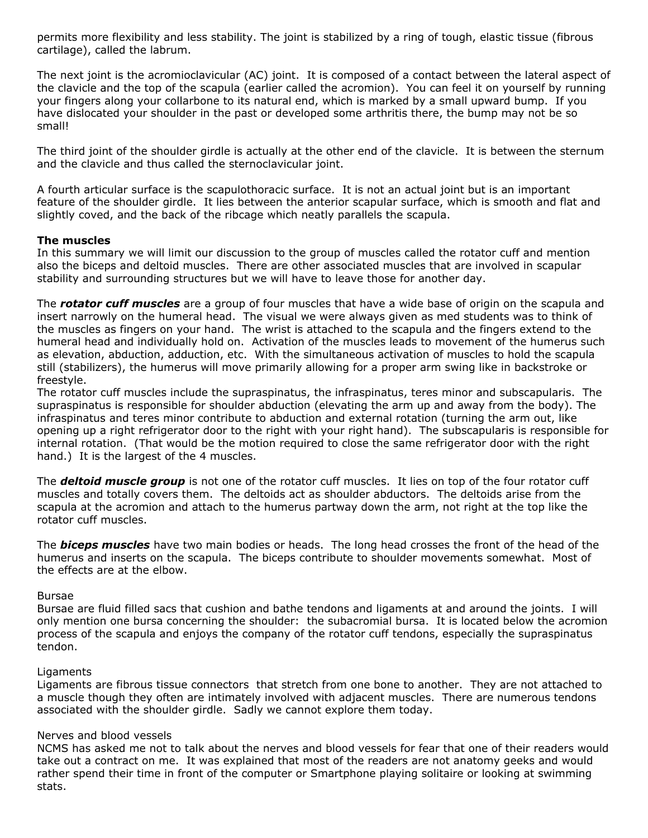permits more flexibility and less stability. The joint is stabilized by a ring of tough, elastic tissue (fibrous cartilage), called the labrum.

The next joint is the acromioclavicular (AC) joint. It is composed of a contact between the lateral aspect of the clavicle and the top of the scapula (earlier called the acromion). You can feel it on yourself by running your fingers along your collarbone to its natural end, which is marked by a small upward bump. If you have dislocated your shoulder in the past or developed some arthritis there, the bump may not be so small!

The third joint of the shoulder girdle is actually at the other end of the clavicle. It is between the sternum and the clavicle and thus called the sternoclavicular joint.

A fourth articular surface is the scapulothoracic surface. It is not an actual joint but is an important feature of the shoulder girdle. It lies between the anterior scapular surface, which is smooth and flat and slightly coved, and the back of the ribcage which neatly parallels the scapula.

## **The muscles**

In this summary we will limit our discussion to the group of muscles called the rotator cuff and mention also the biceps and deltoid muscles. There are other associated muscles that are involved in scapular stability and surrounding structures but we will have to leave those for another day.

The *rotator cuff muscles* are a group of four muscles that have a wide base of origin on the scapula and insert narrowly on the humeral head. The visual we were always given as med students was to think of the muscles as fingers on your hand. The wrist is attached to the scapula and the fingers extend to the humeral head and individually hold on. Activation of the muscles leads to movement of the humerus such as elevation, abduction, adduction, etc. With the simultaneous activation of muscles to hold the scapula still (stabilizers), the humerus will move primarily allowing for a proper arm swing like in backstroke or freestyle.

The rotator cuff muscles include the supraspinatus, the infraspinatus, teres minor and subscapularis. The supraspinatus is responsible for shoulder abduction (elevating the arm up and away from the body). The infraspinatus and teres minor contribute to abduction and external rotation (turning the arm out, like opening up a right refrigerator door to the right with your right hand). The subscapularis is responsible for internal rotation. (That would be the motion required to close the same refrigerator door with the right hand.) It is the largest of the 4 muscles.

The *deltoid muscle group* is not one of the rotator cuff muscles. It lies on top of the four rotator cuff muscles and totally covers them. The deltoids act as shoulder abductors. The deltoids arise from the scapula at the acromion and attach to the humerus partway down the arm, not right at the top like the rotator cuff muscles.

The *biceps muscles* have two main bodies or heads. The long head crosses the front of the head of the humerus and inserts on the scapula. The biceps contribute to shoulder movements somewhat. Most of the effects are at the elbow.

### Bursae

Bursae are fluid filled sacs that cushion and bathe tendons and ligaments at and around the joints. I will only mention one bursa concerning the shoulder: the subacromial bursa. It is located below the acromion process of the scapula and enjoys the company of the rotator cuff tendons, especially the supraspinatus tendon.

### Ligaments

Ligaments are fibrous tissue connectors that stretch from one bone to another. They are not attached to a muscle though they often are intimately involved with adjacent muscles. There are numerous tendons associated with the shoulder girdle. Sadly we cannot explore them today.

## Nerves and blood vessels

NCMS has asked me not to talk about the nerves and blood vessels for fear that one of their readers would take out a contract on me. It was explained that most of the readers are not anatomy geeks and would rather spend their time in front of the computer or Smartphone playing solitaire or looking at swimming stats.